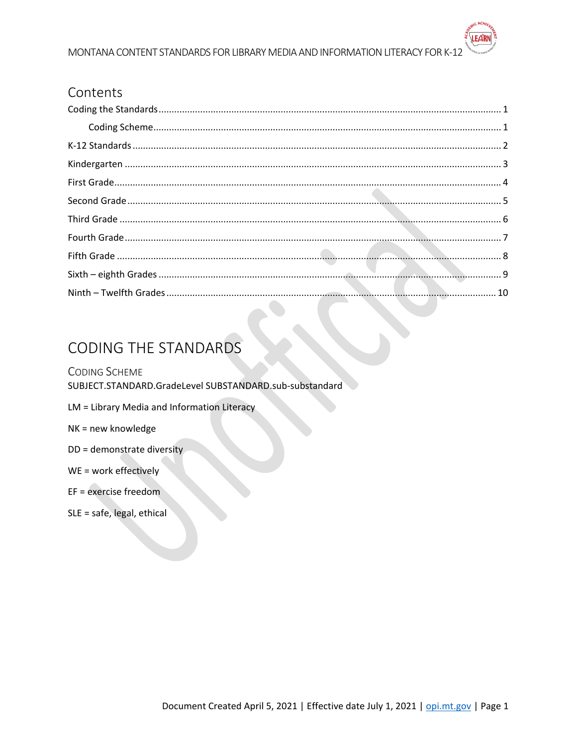#### MONTANA CONTENT STANDARDS FOR LIBRARY MEDIA AND INFORMATION LITERACY FOR K-12

#### Contents

## <span id="page-0-0"></span>**CODING THE STANDARDS**

#### <span id="page-0-1"></span>**CODING SCHEME**

SUBJECT.STANDARD.GradeLevel SUBSTANDARD.sub-substandard

- LM = Library Media and Information Literacy
- NK = new knowledge
- DD = demonstrate diversity
- WE = work effectively
- EF = exercise freedom
- SLE = safe, legal, ethical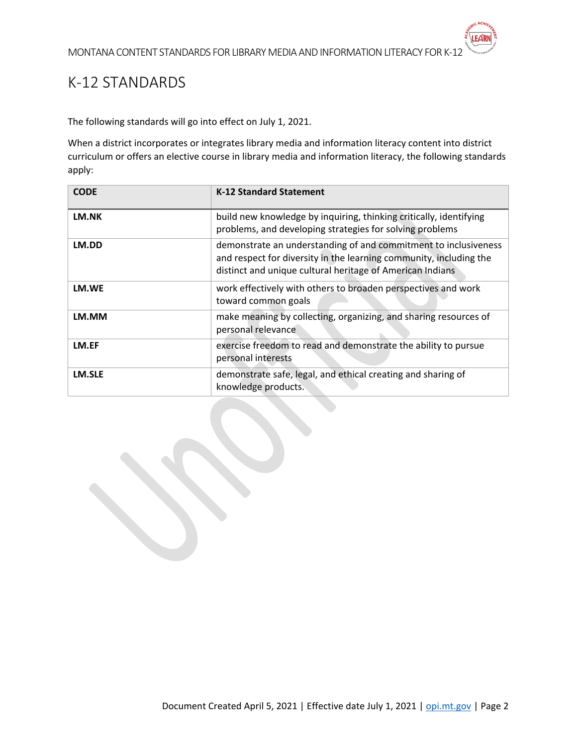## <span id="page-1-0"></span>K-12 STANDARDS

The following standards will go into effect on July 1, 2021.

When a district incorporates or integrates library media and information literacy content into district curriculum or offers an elective course in library media and information literacy, the following standards apply:

| <b>CODE</b> | <b>K-12 Standard Statement</b>                                                                                                                                                                     |
|-------------|----------------------------------------------------------------------------------------------------------------------------------------------------------------------------------------------------|
| LM.NK       | build new knowledge by inquiring, thinking critically, identifying<br>problems, and developing strategies for solving problems                                                                     |
| LM.DD       | demonstrate an understanding of and commitment to inclusiveness<br>and respect for diversity in the learning community, including the<br>distinct and unique cultural heritage of American Indians |
| LM.WE       | work effectively with others to broaden perspectives and work<br>toward common goals                                                                                                               |
| LM.MM       | make meaning by collecting, organizing, and sharing resources of<br>personal relevance                                                                                                             |
| LM.EF       | exercise freedom to read and demonstrate the ability to pursue<br>personal interests                                                                                                               |
| LM.SLE      | demonstrate safe, legal, and ethical creating and sharing of<br>knowledge products.                                                                                                                |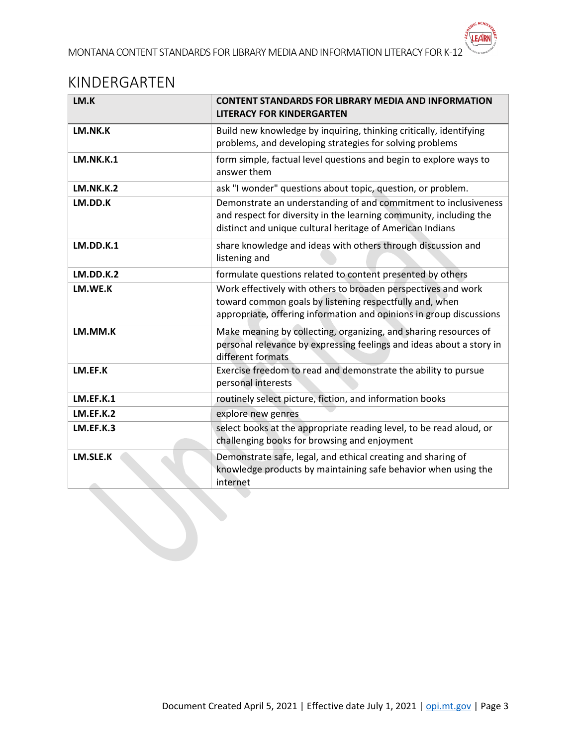### <span id="page-2-0"></span>KINDERGARTEN

| LM.K             | <b>CONTENT STANDARDS FOR LIBRARY MEDIA AND INFORMATION</b><br><b>LITERACY FOR KINDERGARTEN</b>                                                                                                     |
|------------------|----------------------------------------------------------------------------------------------------------------------------------------------------------------------------------------------------|
| LM.NK.K          | Build new knowledge by inquiring, thinking critically, identifying<br>problems, and developing strategies for solving problems                                                                     |
| <b>LM.NK.K.1</b> | form simple, factual level questions and begin to explore ways to<br>answer them                                                                                                                   |
| <b>LM.NK.K.2</b> | ask "I wonder" questions about topic, question, or problem.                                                                                                                                        |
| LM.DD.K          | Demonstrate an understanding of and commitment to inclusiveness<br>and respect for diversity in the learning community, including the<br>distinct and unique cultural heritage of American Indians |
| <b>LM.DD.K.1</b> | share knowledge and ideas with others through discussion and<br>listening and                                                                                                                      |
| LM.DD.K.2        | formulate questions related to content presented by others                                                                                                                                         |
| LM.WE.K          | Work effectively with others to broaden perspectives and work<br>toward common goals by listening respectfully and, when<br>appropriate, offering information and opinions in group discussions    |
| LM.MM.K          | Make meaning by collecting, organizing, and sharing resources of<br>personal relevance by expressing feelings and ideas about a story in<br>different formats                                      |
| LM.EF.K          | Exercise freedom to read and demonstrate the ability to pursue<br>personal interests                                                                                                               |
| <b>LM.EF.K.1</b> | routinely select picture, fiction, and information books                                                                                                                                           |
| LM.EF.K.2        | explore new genres                                                                                                                                                                                 |
| LM.EF.K.3        | select books at the appropriate reading level, to be read aloud, or<br>challenging books for browsing and enjoyment                                                                                |
| LM.SLE.K         | Demonstrate safe, legal, and ethical creating and sharing of<br>knowledge products by maintaining safe behavior when using the<br>internet                                                         |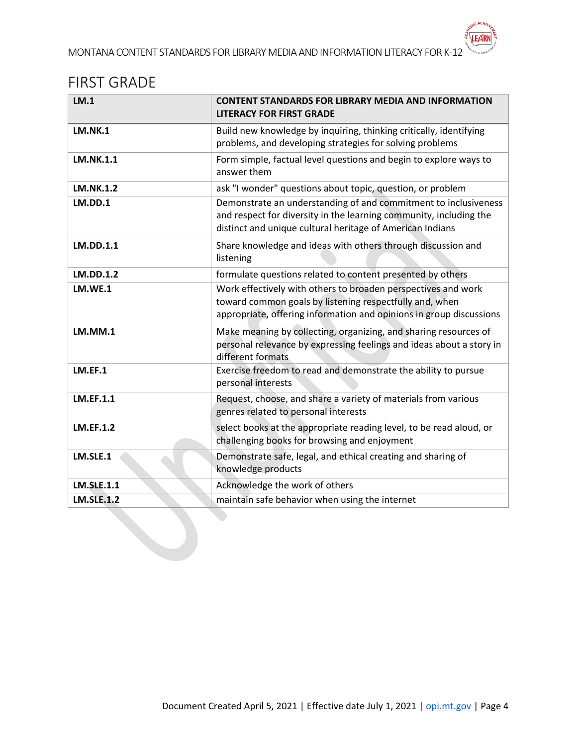## <span id="page-3-0"></span>FIRST GRADE

| LM.1              | <b>CONTENT STANDARDS FOR LIBRARY MEDIA AND INFORMATION</b><br><b>LITERACY FOR FIRST GRADE</b>                                                                                                      |
|-------------------|----------------------------------------------------------------------------------------------------------------------------------------------------------------------------------------------------|
| <b>LM.NK.1</b>    | Build new knowledge by inquiring, thinking critically, identifying<br>problems, and developing strategies for solving problems                                                                     |
| LM.NK.1.1         | Form simple, factual level questions and begin to explore ways to<br>answer them                                                                                                                   |
| <b>LM.NK.1.2</b>  | ask "I wonder" questions about topic, question, or problem                                                                                                                                         |
| LM.DD.1           | Demonstrate an understanding of and commitment to inclusiveness<br>and respect for diversity in the learning community, including the<br>distinct and unique cultural heritage of American Indians |
| LM.DD.1.1         | Share knowledge and ideas with others through discussion and<br>listening                                                                                                                          |
| <b>LM.DD.1.2</b>  | formulate questions related to content presented by others                                                                                                                                         |
| <b>LM.WE.1</b>    | Work effectively with others to broaden perspectives and work<br>toward common goals by listening respectfully and, when<br>appropriate, offering information and opinions in group discussions    |
| <b>LM.MM.1</b>    | Make meaning by collecting, organizing, and sharing resources of<br>personal relevance by expressing feelings and ideas about a story in<br>different formats                                      |
| LM.EF.1           | Exercise freedom to read and demonstrate the ability to pursue<br>personal interests                                                                                                               |
| <b>LM.EF.1.1</b>  | Request, choose, and share a variety of materials from various<br>genres related to personal interests                                                                                             |
| <b>LM.EF.1.2</b>  | select books at the appropriate reading level, to be read aloud, or<br>challenging books for browsing and enjoyment                                                                                |
| LM.SLE.1          | Demonstrate safe, legal, and ethical creating and sharing of<br>knowledge products                                                                                                                 |
| <b>LM.SLE.1.1</b> | Acknowledge the work of others                                                                                                                                                                     |
| <b>LM.SLE.1.2</b> | maintain safe behavior when using the internet                                                                                                                                                     |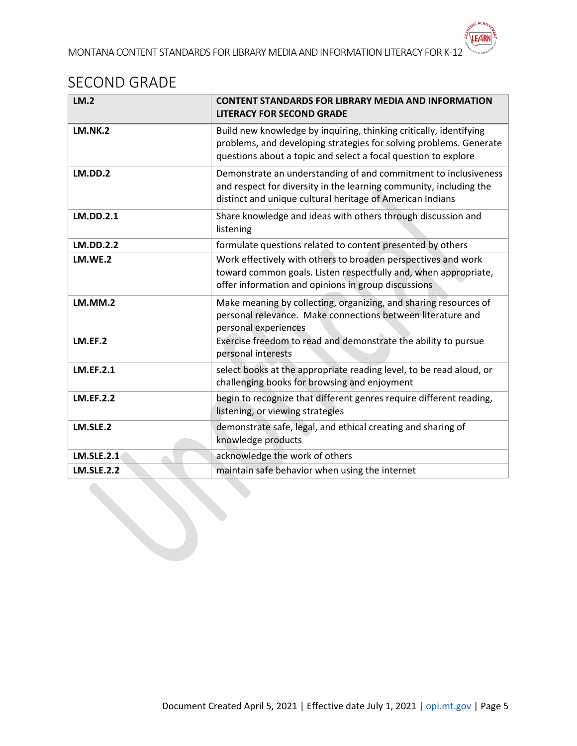## <span id="page-4-0"></span>SECOND GRADE

| LM.2              | <b>CONTENT STANDARDS FOR LIBRARY MEDIA AND INFORMATION</b><br><b>LITERACY FOR SECOND GRADE</b>                                                                                                             |
|-------------------|------------------------------------------------------------------------------------------------------------------------------------------------------------------------------------------------------------|
| <b>LM.NK.2</b>    | Build new knowledge by inquiring, thinking critically, identifying<br>problems, and developing strategies for solving problems. Generate<br>questions about a topic and select a focal question to explore |
| LM.DD.2           | Demonstrate an understanding of and commitment to inclusiveness<br>and respect for diversity in the learning community, including the<br>distinct and unique cultural heritage of American Indians         |
| LM.DD.2.1         | Share knowledge and ideas with others through discussion and<br>listening                                                                                                                                  |
| <b>LM.DD.2.2</b>  | formulate questions related to content presented by others                                                                                                                                                 |
| <b>LM.WE.2</b>    | Work effectively with others to broaden perspectives and work<br>toward common goals. Listen respectfully and, when appropriate,<br>offer information and opinions in group discussions                    |
| LM.MM.2           | Make meaning by collecting, organizing, and sharing resources of<br>personal relevance. Make connections between literature and<br>personal experiences                                                    |
| LM.EF.2           | Exercise freedom to read and demonstrate the ability to pursue<br>personal interests                                                                                                                       |
| <b>LM.EF.2.1</b>  | select books at the appropriate reading level, to be read aloud, or<br>challenging books for browsing and enjoyment                                                                                        |
| <b>LM.EF.2.2</b>  | begin to recognize that different genres require different reading,<br>listening, or viewing strategies                                                                                                    |
| LM.SLE.2          | demonstrate safe, legal, and ethical creating and sharing of<br>knowledge products                                                                                                                         |
| <b>LM.SLE.2.1</b> | acknowledge the work of others                                                                                                                                                                             |
| <b>LM.SLE.2.2</b> | maintain safe behavior when using the internet                                                                                                                                                             |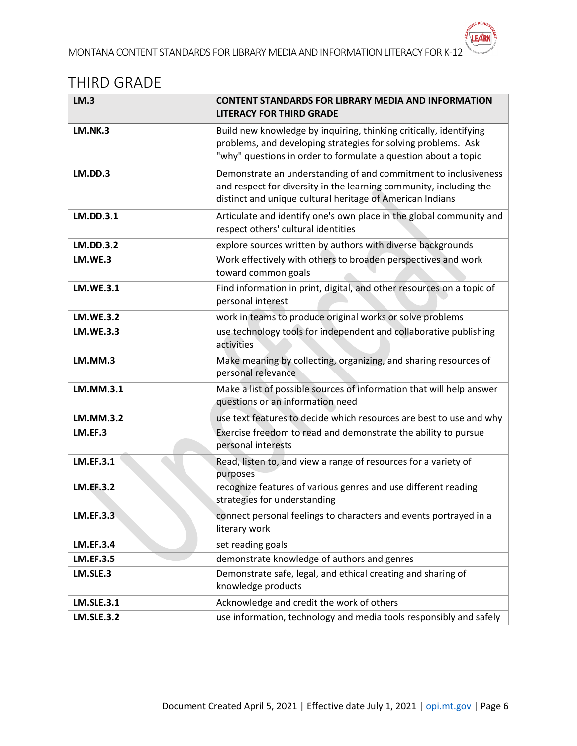## <span id="page-5-0"></span>THIRD GRADE

| LM.3              | <b>CONTENT STANDARDS FOR LIBRARY MEDIA AND INFORMATION</b><br><b>LITERACY FOR THIRD GRADE</b>                                                                                                         |
|-------------------|-------------------------------------------------------------------------------------------------------------------------------------------------------------------------------------------------------|
| LM.NK.3           | Build new knowledge by inquiring, thinking critically, identifying<br>problems, and developing strategies for solving problems. Ask<br>"why" questions in order to formulate a question about a topic |
| LM.DD.3           | Demonstrate an understanding of and commitment to inclusiveness<br>and respect for diversity in the learning community, including the<br>distinct and unique cultural heritage of American Indians    |
| LM.DD.3.1         | Articulate and identify one's own place in the global community and<br>respect others' cultural identities                                                                                            |
| <b>LM.DD.3.2</b>  | explore sources written by authors with diverse backgrounds                                                                                                                                           |
| LM.WE.3           | Work effectively with others to broaden perspectives and work<br>toward common goals                                                                                                                  |
| <b>LM.WE.3.1</b>  | Find information in print, digital, and other resources on a topic of<br>personal interest                                                                                                            |
| <b>LM.WE.3.2</b>  | work in teams to produce original works or solve problems                                                                                                                                             |
| <b>LM.WE.3.3</b>  | use technology tools for independent and collaborative publishing<br>activities                                                                                                                       |
| LM.MM.3           | Make meaning by collecting, organizing, and sharing resources of<br>personal relevance                                                                                                                |
| LM.MM.3.1         | Make a list of possible sources of information that will help answer<br>questions or an information need                                                                                              |
| <b>LM.MM.3.2</b>  | use text features to decide which resources are best to use and why                                                                                                                                   |
| LM.EF.3           | Exercise freedom to read and demonstrate the ability to pursue<br>personal interests                                                                                                                  |
| <b>LM.EF.3.1</b>  | Read, listen to, and view a range of resources for a variety of<br>purposes                                                                                                                           |
| <b>LM.EF.3.2</b>  | recognize features of various genres and use different reading<br>strategies for understanding                                                                                                        |
| <b>LM.EF.3.3</b>  | connect personal feelings to characters and events portrayed in a<br>literary work                                                                                                                    |
| <b>LM.EF.3.4</b>  | set reading goals                                                                                                                                                                                     |
| <b>LM.EF.3.5</b>  | demonstrate knowledge of authors and genres                                                                                                                                                           |
| LM.SLE.3          | Demonstrate safe, legal, and ethical creating and sharing of<br>knowledge products                                                                                                                    |
| <b>LM.SLE.3.1</b> | Acknowledge and credit the work of others                                                                                                                                                             |
| <b>LM.SLE.3.2</b> | use information, technology and media tools responsibly and safely                                                                                                                                    |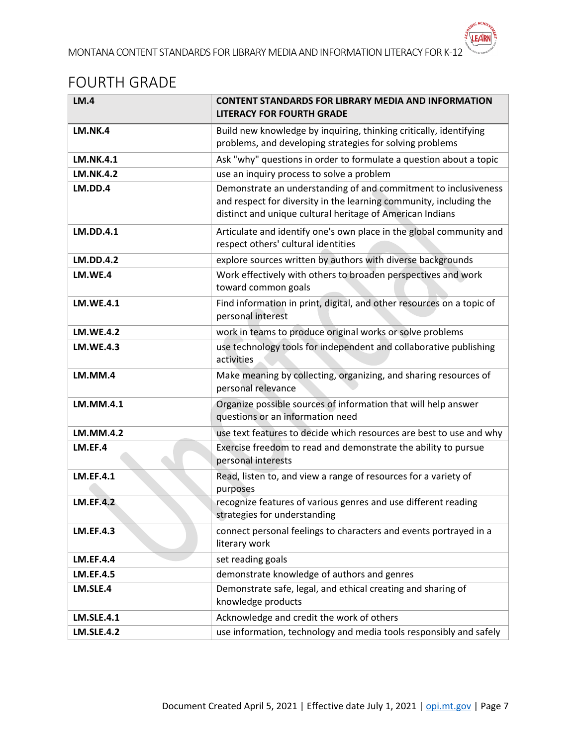## <span id="page-6-0"></span>FOURTH GRADE

| LM.4              | <b>CONTENT STANDARDS FOR LIBRARY MEDIA AND INFORMATION</b><br><b>LITERACY FOR FOURTH GRADE</b>                                                                                                     |
|-------------------|----------------------------------------------------------------------------------------------------------------------------------------------------------------------------------------------------|
| LM.NK.4           | Build new knowledge by inquiring, thinking critically, identifying<br>problems, and developing strategies for solving problems                                                                     |
| <b>LM.NK.4.1</b>  | Ask "why" questions in order to formulate a question about a topic                                                                                                                                 |
| <b>LM.NK.4.2</b>  | use an inquiry process to solve a problem                                                                                                                                                          |
| LM.DD.4           | Demonstrate an understanding of and commitment to inclusiveness<br>and respect for diversity in the learning community, including the<br>distinct and unique cultural heritage of American Indians |
| <b>LM.DD.4.1</b>  | Articulate and identify one's own place in the global community and<br>respect others' cultural identities                                                                                         |
| <b>LM.DD.4.2</b>  | explore sources written by authors with diverse backgrounds                                                                                                                                        |
| LM.WE.4           | Work effectively with others to broaden perspectives and work<br>toward common goals                                                                                                               |
| <b>LM.WE.4.1</b>  | Find information in print, digital, and other resources on a topic of<br>personal interest                                                                                                         |
| <b>LM.WE.4.2</b>  | work in teams to produce original works or solve problems                                                                                                                                          |
| <b>LM.WE.4.3</b>  | use technology tools for independent and collaborative publishing<br>activities                                                                                                                    |
| LM.MM.4           | Make meaning by collecting, organizing, and sharing resources of<br>personal relevance                                                                                                             |
| LM.MM.4.1         | Organize possible sources of information that will help answer<br>questions or an information need                                                                                                 |
| <b>LM.MM.4.2</b>  | use text features to decide which resources are best to use and why                                                                                                                                |
| LM.EF.4           | Exercise freedom to read and demonstrate the ability to pursue<br>personal interests                                                                                                               |
| <b>LM.EF.4.1</b>  | Read, listen to, and view a range of resources for a variety of<br>purposes                                                                                                                        |
| <b>LM.EF.4.2</b>  | recognize features of various genres and use different reading<br>strategies for understanding                                                                                                     |
| <b>LM.EF.4.3</b>  | connect personal feelings to characters and events portrayed in a<br>literary work                                                                                                                 |
| <b>LM.EF.4.4</b>  | set reading goals                                                                                                                                                                                  |
| <b>LM.EF.4.5</b>  | demonstrate knowledge of authors and genres                                                                                                                                                        |
| LM.SLE.4          | Demonstrate safe, legal, and ethical creating and sharing of<br>knowledge products                                                                                                                 |
| <b>LM.SLE.4.1</b> | Acknowledge and credit the work of others                                                                                                                                                          |
| <b>LM.SLE.4.2</b> | use information, technology and media tools responsibly and safely                                                                                                                                 |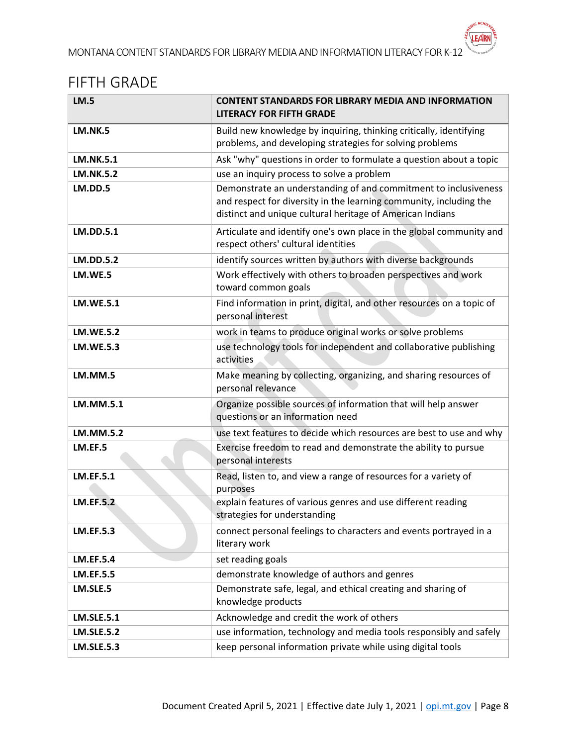### <span id="page-7-0"></span>FIFTH GRADE

| <b>LM.5</b>       | <b>CONTENT STANDARDS FOR LIBRARY MEDIA AND INFORMATION</b><br><b>LITERACY FOR FIFTH GRADE</b>                                                                                                      |
|-------------------|----------------------------------------------------------------------------------------------------------------------------------------------------------------------------------------------------|
| <b>LM.NK.5</b>    | Build new knowledge by inquiring, thinking critically, identifying<br>problems, and developing strategies for solving problems                                                                     |
| <b>LM.NK.5.1</b>  | Ask "why" questions in order to formulate a question about a topic                                                                                                                                 |
| <b>LM.NK.5.2</b>  | use an inquiry process to solve a problem                                                                                                                                                          |
| LM.DD.5           | Demonstrate an understanding of and commitment to inclusiveness<br>and respect for diversity in the learning community, including the<br>distinct and unique cultural heritage of American Indians |
| <b>LM.DD.5.1</b>  | Articulate and identify one's own place in the global community and<br>respect others' cultural identities                                                                                         |
| <b>LM.DD.5.2</b>  | identify sources written by authors with diverse backgrounds                                                                                                                                       |
| LM.WE.5           | Work effectively with others to broaden perspectives and work<br>toward common goals                                                                                                               |
| <b>LM.WE.5.1</b>  | Find information in print, digital, and other resources on a topic of<br>personal interest                                                                                                         |
| <b>LM.WE.5.2</b>  | work in teams to produce original works or solve problems                                                                                                                                          |
| <b>LM.WE.5.3</b>  | use technology tools for independent and collaborative publishing<br>activities                                                                                                                    |
| LM.MM.5           | Make meaning by collecting, organizing, and sharing resources of<br>personal relevance                                                                                                             |
| LM.MM.5.1         | Organize possible sources of information that will help answer<br>questions or an information need                                                                                                 |
| <b>LM.MM.5.2</b>  | use text features to decide which resources are best to use and why                                                                                                                                |
| LM.EF.5           | Exercise freedom to read and demonstrate the ability to pursue<br>personal interests                                                                                                               |
| <b>LM.EF.5.1</b>  | Read, listen to, and view a range of resources for a variety of<br>purposes                                                                                                                        |
| <b>LM.EF.5.2</b>  | explain features of various genres and use different reading<br>strategies for understanding                                                                                                       |
| <b>LM.EF.5.3</b>  | connect personal feelings to characters and events portrayed in a<br>literary work                                                                                                                 |
| <b>LM.EF.5.4</b>  | set reading goals                                                                                                                                                                                  |
| <b>LM.EF.5.5</b>  | demonstrate knowledge of authors and genres                                                                                                                                                        |
| LM.SLE.5          | Demonstrate safe, legal, and ethical creating and sharing of<br>knowledge products                                                                                                                 |
| <b>LM.SLE.5.1</b> | Acknowledge and credit the work of others                                                                                                                                                          |
| <b>LM.SLE.5.2</b> | use information, technology and media tools responsibly and safely                                                                                                                                 |
| <b>LM.SLE.5.3</b> | keep personal information private while using digital tools                                                                                                                                        |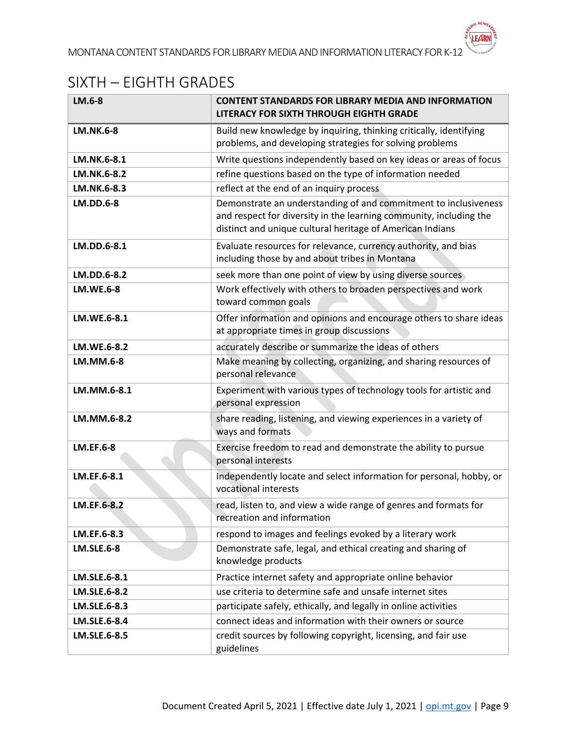# <span id="page-8-0"></span>SIXTH – EIGHTH GRADES

| LM.6-8            | <b>CONTENT STANDARDS FOR LIBRARY MEDIA AND INFORMATION</b><br>LITERACY FOR SIXTH THROUGH EIGHTH GRADE                                                                                              |
|-------------------|----------------------------------------------------------------------------------------------------------------------------------------------------------------------------------------------------|
| <b>LM.NK.6-8</b>  | Build new knowledge by inquiring, thinking critically, identifying<br>problems, and developing strategies for solving problems                                                                     |
| LM.NK.6-8.1       | Write questions independently based on key ideas or areas of focus                                                                                                                                 |
| LM.NK.6-8.2       | refine questions based on the type of information needed                                                                                                                                           |
| LM.NK.6-8.3       | reflect at the end of an inquiry process                                                                                                                                                           |
| <b>LM.DD.6-8</b>  | Demonstrate an understanding of and commitment to inclusiveness<br>and respect for diversity in the learning community, including the<br>distinct and unique cultural heritage of American Indians |
| LM.DD.6-8.1       | Evaluate resources for relevance, currency authority, and bias<br>including those by and about tribes in Montana                                                                                   |
| LM.DD.6-8.2       | seek more than one point of view by using diverse sources                                                                                                                                          |
| <b>LM.WE.6-8</b>  | Work effectively with others to broaden perspectives and work<br>toward common goals                                                                                                               |
| LM.WE.6-8.1       | Offer information and opinions and encourage others to share ideas<br>at appropriate times in group discussions                                                                                    |
| LM.WE.6-8.2       | accurately describe or summarize the ideas of others                                                                                                                                               |
| <b>LM.MM.6-8</b>  | Make meaning by collecting, organizing, and sharing resources of<br>personal relevance                                                                                                             |
| LM.MM.6-8.1       | Experiment with various types of technology tools for artistic and<br>personal expression                                                                                                          |
| LM.MM.6-8.2       | share reading, listening, and viewing experiences in a variety of<br>ways and formats                                                                                                              |
| <b>LM.EF.6-8</b>  | Exercise freedom to read and demonstrate the ability to pursue<br>personal interests                                                                                                               |
| LM.EF.6-8.1       | Independently locate and select information for personal, hobby, or<br>vocational interests                                                                                                        |
| LM.EF.6-8.2       | read, listen to, and view a wide range of genres and formats for<br>recreation and information                                                                                                     |
| LM.EF.6-8.3       | respond to images and feelings evoked by a literary work                                                                                                                                           |
| <b>LM.SLE.6-8</b> | Demonstrate safe, legal, and ethical creating and sharing of<br>knowledge products                                                                                                                 |
| LM.SLE.6-8.1      | Practice internet safety and appropriate online behavior                                                                                                                                           |
| LM.SLE.6-8.2      | use criteria to determine safe and unsafe internet sites                                                                                                                                           |
| LM.SLE.6-8.3      | participate safely, ethically, and legally in online activities                                                                                                                                    |
| LM.SLE.6-8.4      | connect ideas and information with their owners or source                                                                                                                                          |
| LM.SLE.6-8.5      | credit sources by following copyright, licensing, and fair use<br>guidelines                                                                                                                       |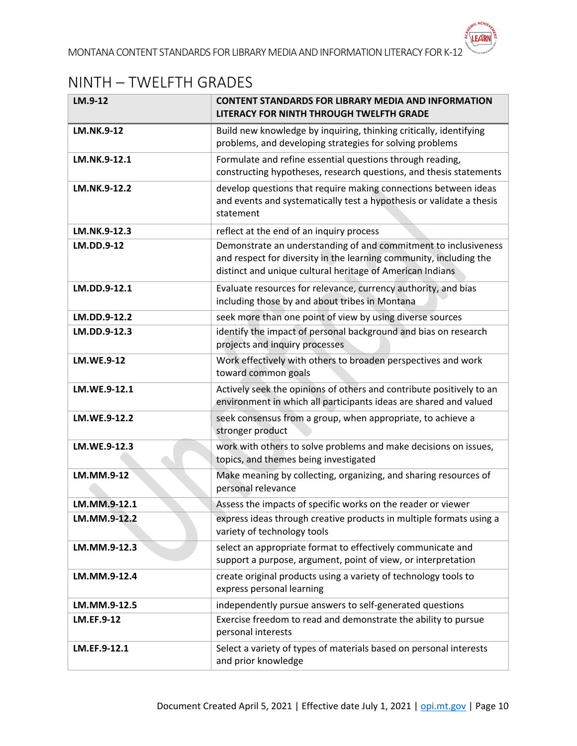## <span id="page-9-0"></span>NINTH – TWELFTH GRADES

| LM.9-12           | <b>CONTENT STANDARDS FOR LIBRARY MEDIA AND INFORMATION</b><br>LITERACY FOR NINTH THROUGH TWELFTH GRADE                                                                                             |
|-------------------|----------------------------------------------------------------------------------------------------------------------------------------------------------------------------------------------------|
| <b>LM.NK.9-12</b> | Build new knowledge by inquiring, thinking critically, identifying<br>problems, and developing strategies for solving problems                                                                     |
| LM.NK.9-12.1      | Formulate and refine essential questions through reading,<br>constructing hypotheses, research questions, and thesis statements                                                                    |
| LM.NK.9-12.2      | develop questions that require making connections between ideas<br>and events and systematically test a hypothesis or validate a thesis<br>statement                                               |
| LM.NK.9-12.3      | reflect at the end of an inquiry process                                                                                                                                                           |
| LM.DD.9-12        | Demonstrate an understanding of and commitment to inclusiveness<br>and respect for diversity in the learning community, including the<br>distinct and unique cultural heritage of American Indians |
| LM.DD.9-12.1      | Evaluate resources for relevance, currency authority, and bias<br>including those by and about tribes in Montana                                                                                   |
| LM.DD.9-12.2      | seek more than one point of view by using diverse sources                                                                                                                                          |
| LM.DD.9-12.3      | identify the impact of personal background and bias on research<br>projects and inquiry processes                                                                                                  |
| <b>LM.WE.9-12</b> | Work effectively with others to broaden perspectives and work<br>toward common goals                                                                                                               |
| LM.WE.9-12.1      | Actively seek the opinions of others and contribute positively to an<br>environment in which all participants ideas are shared and valued                                                          |
| LM.WE.9-12.2      | seek consensus from a group, when appropriate, to achieve a<br>stronger product                                                                                                                    |
| LM.WE.9-12.3      | work with others to solve problems and make decisions on issues,<br>topics, and themes being investigated                                                                                          |
| LM.MM.9-12        | Make meaning by collecting, organizing, and sharing resources of<br>personal relevance                                                                                                             |
| LM.MM.9-12.1      | Assess the impacts of specific works on the reader or viewer                                                                                                                                       |
| LM.MM.9-12.2      | express ideas through creative products in multiple formats using a<br>variety of technology tools                                                                                                 |
| LM.MM.9-12.3      | select an appropriate format to effectively communicate and<br>support a purpose, argument, point of view, or interpretation                                                                       |
| LM.MM.9-12.4      | create original products using a variety of technology tools to<br>express personal learning                                                                                                       |
| LM.MM.9-12.5      | independently pursue answers to self-generated questions                                                                                                                                           |
| <b>LM.EF.9-12</b> | Exercise freedom to read and demonstrate the ability to pursue<br>personal interests                                                                                                               |
| LM.EF.9-12.1      | Select a variety of types of materials based on personal interests<br>and prior knowledge                                                                                                          |